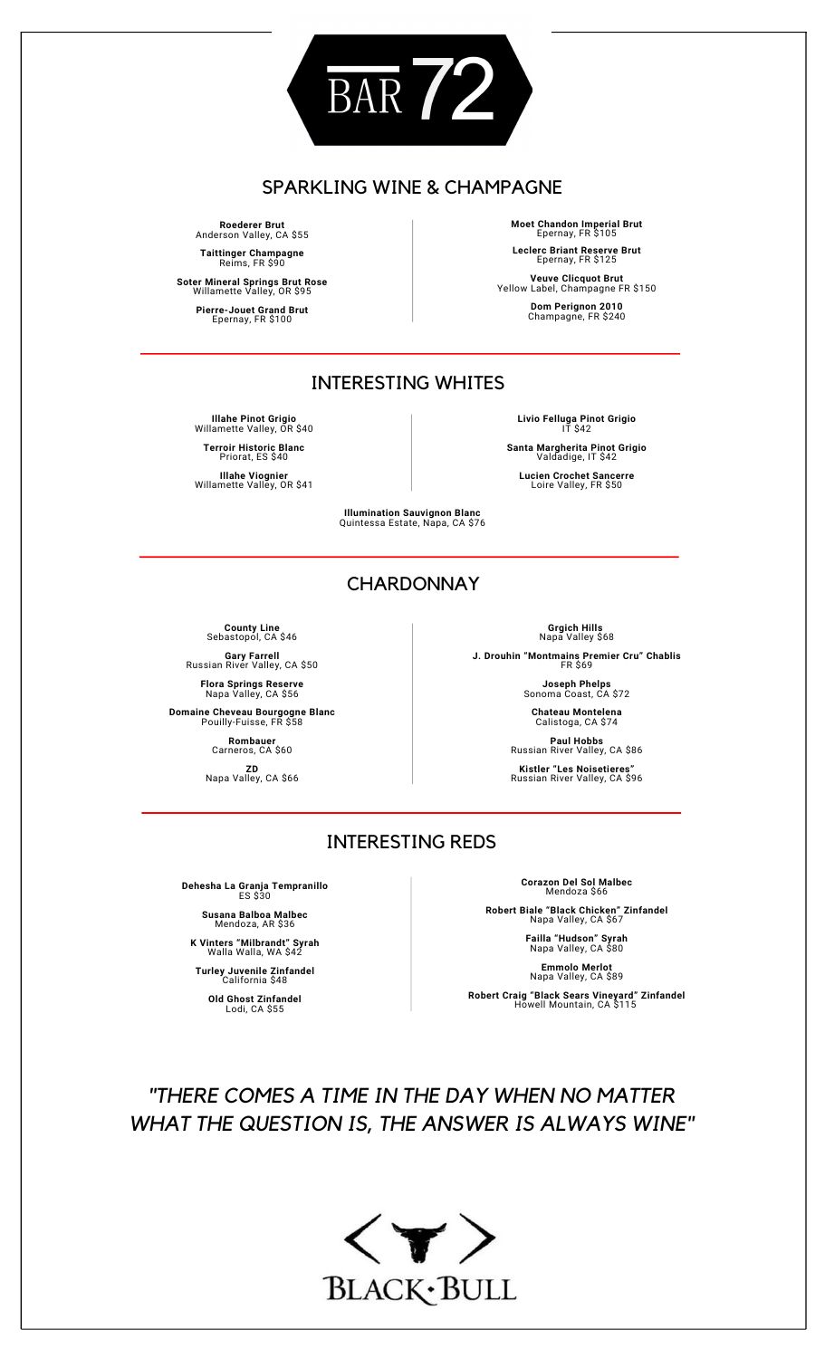

### SPARKLING WINE & CHAMPAGNE

**Roederer Brut** Anderson Valley, CA \$55 **Taittinger Champagne** Reims, FR \$90

**Soter Mineral Springs Brut Rose** Willamette Valley, OR \$95 **Pierre-Jouet Grand Brut** Epernay, FR \$100

**Moet Chandon Imperial Brut** Epernay, FR \$105 **Leclerc Briant Reserve Brut** Epernay, FR \$125

**Veuve Clicquot Brut** Yellow Label, Champagne FR \$150 **Dom Perignon 2010** Champagne, FR \$240

## INTERESTING WHITES

**Illahe Pinot Grigio** Willamette Valley, OR \$40 **Terroir Historic Blanc** Priorat, ES \$40

**Illahe Viognier** Willamette Valley, OR \$41

**Livio Felluga Pinot Grigio** IT \$42

**Santa Margherita Pinot Grigio** Valdadige, IT \$42

**Lucien Crochet Sancerre** Loire Valley, FR \$50

**Illumination Sauvignon Blanc** Quintessa Estate, Napa, CA \$76

## **CHARDONNAY**

**County Line** Sebastopol, CA \$46

**Gary Farrell** Russian River Valley, CA \$50 **Flora Springs Reserve** Napa Valley, CA \$56

**Domaine Cheveau Bourgogne Blanc** Pouilly-Fuisse, FR \$58

**Rombauer** Carneros, CA \$60

**ZD**<br>Napa Valley, CA \$66

**Grgich Hills** Napa Valley \$68

**Joseph Phelps** Sonoma Coast, CA \$72

Calistoga, CA \$74 **Paul Hobbs** Russian River Valley, CA \$86

## INTERESTING REDS

**Dehesha La Granja Tempranillo** ES \$30

**Susana Balboa Malbec** Mendoza, AR \$36

**K Vinters "Milbrandt" Syrah** Walla Walla, WA \$42

**Turley Juvenile Zinfandel** California \$48 **Old Ghost Zinfandel** Lodi, CA \$55

**Corazon Del Sol Malbec** Mendoza \$66

**Robert Biale "Black Chicken" Zinfandel** Napa Valley, CA \$67

**Failla "Hudson" Syrah** Napa Valley, CA \$80

**Emmolo Merlot** Napa Valley, CA \$89

**Robert Craig "Black Sears Vineyard" Zinfandel** Howell Mountain, CA \$115

# *"THERE COMES A TIME IN THE DAY WHEN NO MATTER WHAT THE QUESTION IS, THE ANSWER IS ALWAYS WINE"*



**J. Drouhin "Montmains Premier Cru" Chablis** FR \$69

**Chateau Montelena**

**Kistler "Les Noisetieres"** Russian River Valley, CA \$96